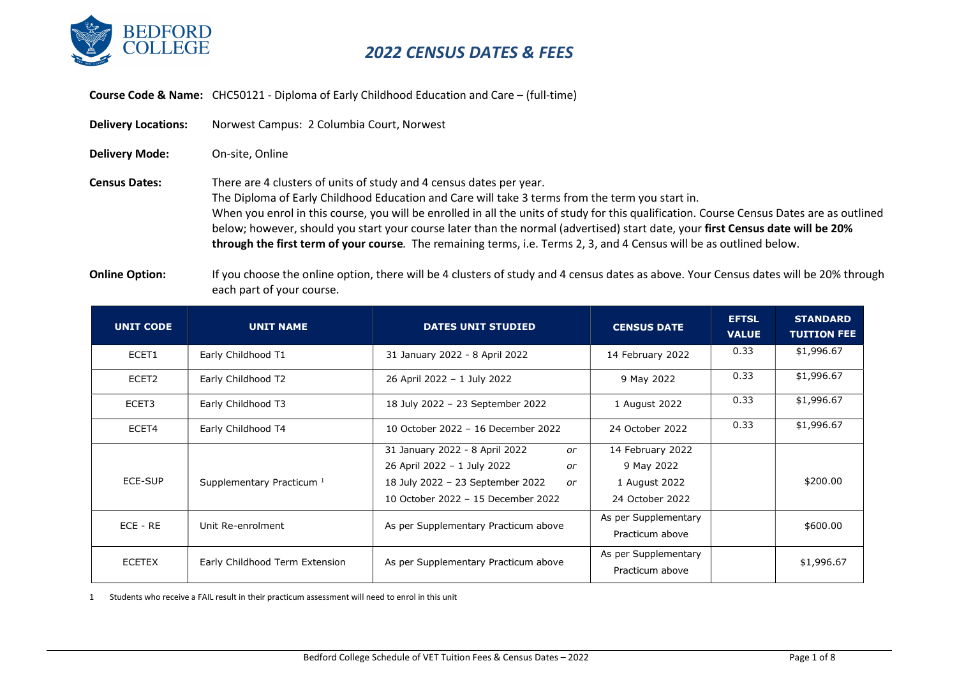

Course Code & Name: CHC50121 - Diploma of Early Childhood Education and Care – (full-time)

| <b>Delivery Locations:</b> | Norwest Campus: 2 Columbia Court, Norwest                                                                                                                                                                                                                                                                                                                                                                                                                                                                                                                                     |
|----------------------------|-------------------------------------------------------------------------------------------------------------------------------------------------------------------------------------------------------------------------------------------------------------------------------------------------------------------------------------------------------------------------------------------------------------------------------------------------------------------------------------------------------------------------------------------------------------------------------|
| <b>Delivery Mode:</b>      | On-site, Online                                                                                                                                                                                                                                                                                                                                                                                                                                                                                                                                                               |
| <b>Census Dates:</b>       | There are 4 clusters of units of study and 4 census dates per year.<br>The Diploma of Early Childhood Education and Care will take 3 terms from the term you start in.<br>When you enrol in this course, you will be enrolled in all the units of study for this qualification. Course Census Dates are as outlined<br>below; however, should you start your course later than the normal (advertised) start date, your first Census date will be 20%<br>through the first term of your course. The remaining terms, i.e. Terms 2, 3, and 4 Census will be as outlined below. |

Online Option: If you choose the online option, there will be 4 clusters of study and 4 census dates as above. Your Census dates will be 20% through each part of your course.

| <b>UNIT CODE</b> | <b>UNIT NAME</b>                     | <b>DATES UNIT STUDIED</b>              | <b>CENSUS DATE</b>   | <b>EFTSL</b><br><b>VALUE</b> | <b>STANDARD</b><br><b>TUITION FEE</b> |
|------------------|--------------------------------------|----------------------------------------|----------------------|------------------------------|---------------------------------------|
| ECET1            | Early Childhood T1                   | 31 January 2022 - 8 April 2022         | 14 February 2022     | 0.33                         | \$1,996.67                            |
| ECET2            | Early Childhood T2                   | 26 April 2022 - 1 July 2022            | 9 May 2022           | 0.33                         | \$1,996.67                            |
| ECET3            | Early Childhood T3                   | 18 July 2022 - 23 September 2022       | 1 August 2022        | 0.33                         | \$1,996.67                            |
| ECET4            | Early Childhood T4                   | 10 October 2022 - 16 December 2022     | 24 October 2022      | 0.33                         | \$1,996.67                            |
|                  |                                      | 31 January 2022 - 8 April 2022<br>or   | 14 February 2022     |                              |                                       |
|                  |                                      | 26 April 2022 - 1 July 2022<br>or      | 9 May 2022           |                              |                                       |
| ECE-SUP          | Supplementary Practicum <sup>1</sup> | 18 July 2022 - 23 September 2022<br>or | 1 August 2022        |                              | \$200.00                              |
|                  |                                      | 10 October 2022 - 15 December 2022     | 24 October 2022      |                              |                                       |
| $ECE - RE$       | Unit Re-enrolment                    | As per Supplementary Practicum above   | As per Supplementary |                              | \$600.00                              |
|                  |                                      |                                        | Practicum above      |                              |                                       |
| <b>ECETEX</b>    | Early Childhood Term Extension       | As per Supplementary Practicum above   | As per Supplementary |                              | \$1,996.67                            |
|                  |                                      |                                        | Practicum above      |                              |                                       |

1 Students who receive a FAIL result in their practicum assessment will need to enrol in this unit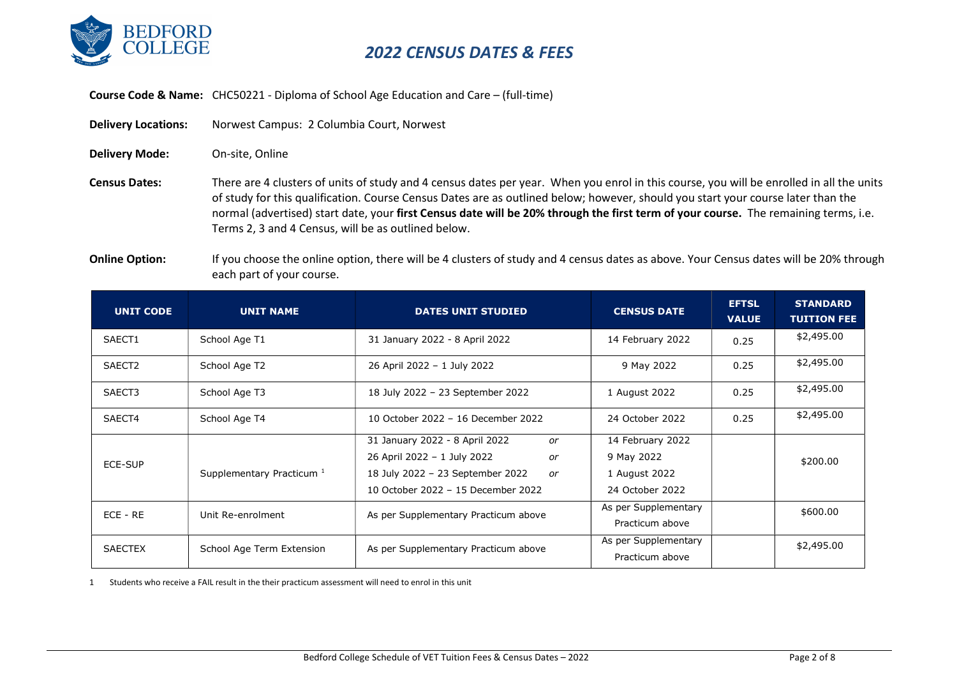

Course Code & Name: CHC50221 - Diploma of School Age Education and Care – (full-time)

Delivery Locations: Norwest Campus: 2 Columbia Court, Norwest

Delivery Mode: On-site, Online

Census Dates: There are 4 clusters of units of study and 4 census dates per year. When you enrol in this course, you will be enrolled in all the units of study for this qualification. Course Census Dates are as outlined below; however, should you start your course later than the normal (advertised) start date, your first Census date will be 20% through the first term of your course. The remaining terms, i.e. Terms 2, 3 and 4 Census, will be as outlined below.

Online Option: If you choose the online option, there will be 4 clusters of study and 4 census dates as above. Your Census dates will be 20% through each part of your course.

| <b>UNIT CODE</b>   | <b>UNIT NAME</b>                     | <b>DATES UNIT STUDIED</b>              | <b>CENSUS DATE</b>   | <b>EFTSL</b><br><b>VALUE</b> | <b>STANDARD</b><br><b>TUITION FEE</b> |
|--------------------|--------------------------------------|----------------------------------------|----------------------|------------------------------|---------------------------------------|
| SAECT1             | School Age T1                        | 31 January 2022 - 8 April 2022         | 14 February 2022     | 0.25                         | \$2,495.00                            |
| SAECT <sub>2</sub> | School Age T2                        | 26 April 2022 - 1 July 2022            | 9 May 2022           | 0.25                         | \$2,495.00                            |
| SAECT3             | School Age T3                        | 18 July 2022 - 23 September 2022       | 1 August 2022        | 0.25                         | \$2,495.00                            |
| SAECT4             | School Age T4                        | 10 October 2022 - 16 December 2022     | 24 October 2022      | 0.25                         | \$2,495.00                            |
|                    |                                      | 31 January 2022 - 8 April 2022<br>or   | 14 February 2022     |                              |                                       |
| ECE-SUP            |                                      | 26 April 2022 - 1 July 2022<br>or      | 9 May 2022           |                              | \$200.00                              |
|                    | Supplementary Practicum <sup>1</sup> | 18 July 2022 - 23 September 2022<br>or | 1 August 2022        |                              |                                       |
|                    |                                      | 10 October 2022 - 15 December 2022     | 24 October 2022      |                              |                                       |
| $ECE - RE$         | Unit Re-enrolment                    | As per Supplementary Practicum above   | As per Supplementary |                              | \$600.00                              |
|                    |                                      |                                        | Practicum above      |                              |                                       |
| <b>SAECTEX</b>     | School Age Term Extension            | As per Supplementary Practicum above   | As per Supplementary |                              | \$2,495.00                            |
|                    |                                      |                                        | Practicum above      |                              |                                       |

1 Students who receive a FAIL result in the their practicum assessment will need to enrol in this unit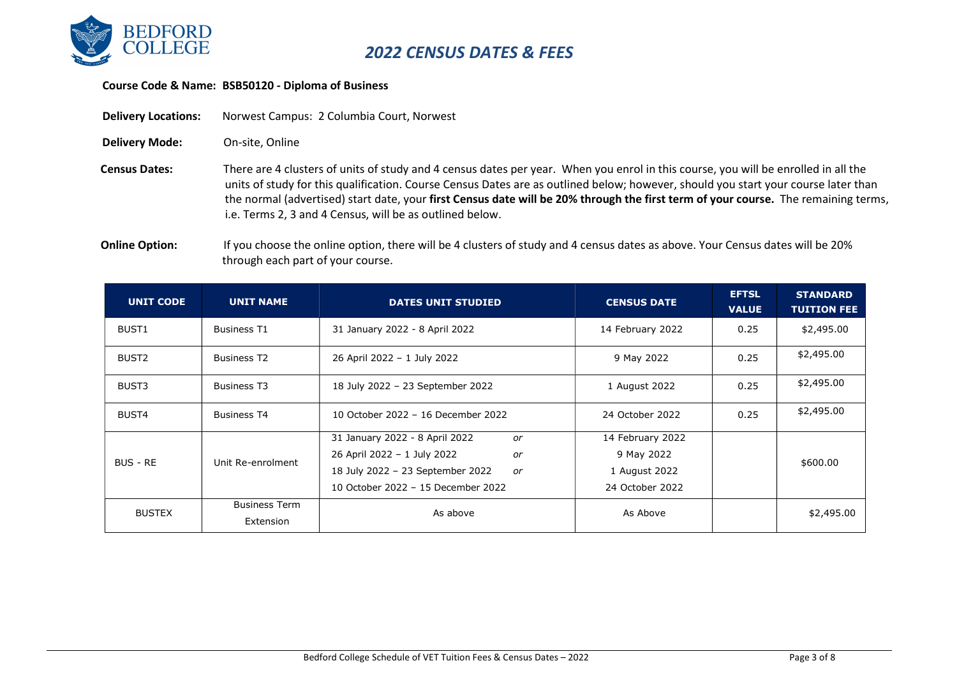

#### Course Code & Name: BSB50120 - Diploma of Business

Delivery Locations: Norwest Campus: 2 Columbia Court, Norwest

Delivery Mode: On-site, Online

Census Dates: There are 4 clusters of units of study and 4 census dates per year. When you enrol in this course, you will be enrolled in all the units of study for this qualification. Course Census Dates are as outlined below; however, should you start your course later than the normal (advertised) start date, your first Census date will be 20% through the first term of your course. The remaining terms, i.e. Terms 2, 3 and 4 Census, will be as outlined below.

Online Option: If you choose the online option, there will be 4 clusters of study and 4 census dates as above. Your Census dates will be 20% through each part of your course.

| <b>UNIT CODE</b>  | <b>UNIT NAME</b>                  | <b>DATES UNIT STUDIED</b>                                                                                                                                 | <b>CENSUS DATE</b>                                                 | <b>EFTSL</b><br><b>VALUE</b> | <b>STANDARD</b><br><b>TUITION FEE</b> |
|-------------------|-----------------------------------|-----------------------------------------------------------------------------------------------------------------------------------------------------------|--------------------------------------------------------------------|------------------------------|---------------------------------------|
| BUST1             | <b>Business T1</b>                | 31 January 2022 - 8 April 2022                                                                                                                            | 14 February 2022                                                   | 0.25                         | \$2,495.00                            |
| BUST <sub>2</sub> | <b>Business T2</b>                | 26 April 2022 - 1 July 2022                                                                                                                               | 9 May 2022                                                         | 0.25                         | \$2,495.00                            |
| BUST3             | <b>Business T3</b>                | 18 July 2022 - 23 September 2022                                                                                                                          | 1 August 2022                                                      | 0.25                         | \$2,495.00                            |
| BUST4             | <b>Business T4</b>                | 10 October 2022 - 16 December 2022                                                                                                                        | 24 October 2022                                                    | 0.25                         | \$2,495.00                            |
| BUS - RE          | Unit Re-enrolment                 | 31 January 2022 - 8 April 2022<br>or<br>26 April 2022 - 1 July 2022<br>or<br>18 July 2022 - 23 September 2022<br>or<br>10 October 2022 - 15 December 2022 | 14 February 2022<br>9 May 2022<br>1 August 2022<br>24 October 2022 |                              | \$600.00                              |
| <b>BUSTEX</b>     | <b>Business Term</b><br>Extension | As above                                                                                                                                                  | As Above                                                           |                              | \$2,495.00                            |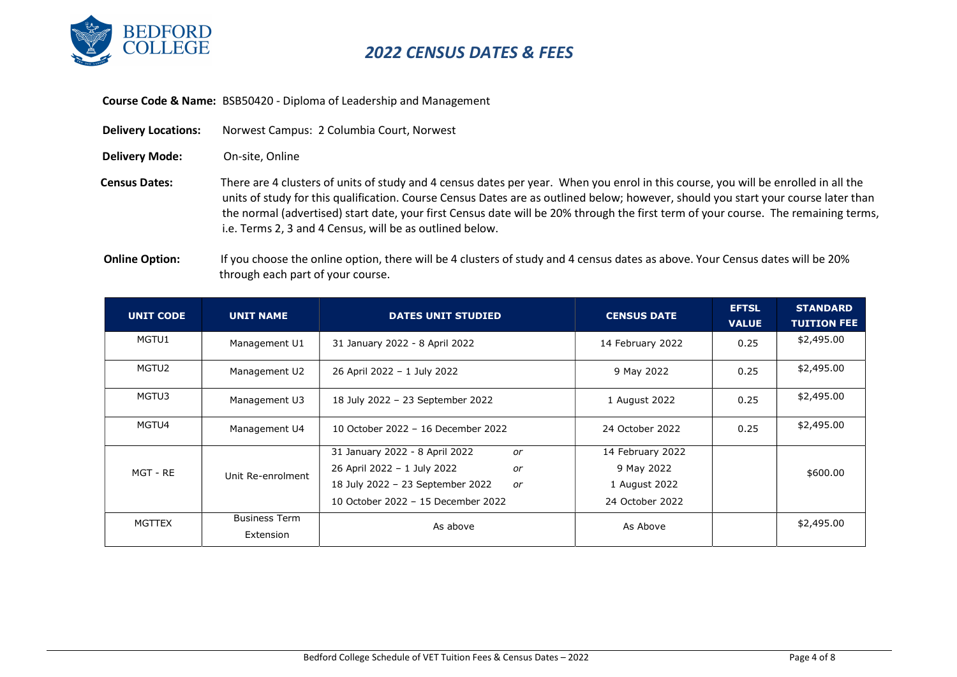

Course Code & Name: BSB50420 - Diploma of Leadership and Management

| <b>Delivery Locations:</b> | Norwest Campus: 2 Columbia Court, Norwest                                                                                                                                                                                                                                                                                                                                                                                                                                  |
|----------------------------|----------------------------------------------------------------------------------------------------------------------------------------------------------------------------------------------------------------------------------------------------------------------------------------------------------------------------------------------------------------------------------------------------------------------------------------------------------------------------|
| <b>Delivery Mode:</b>      | On-site. Online                                                                                                                                                                                                                                                                                                                                                                                                                                                            |
| <b>Census Dates:</b>       | There are 4 clusters of units of study and 4 census dates per year. When you enrol in this course, you will be enrolled in all the<br>units of study for this qualification. Course Census Dates are as outlined below; however, should you start your course later than<br>the normal (advertised) start date, your first Census date will be 20% through the first term of your course. The remaining terms,<br>i.e. Terms 2, 3 and 4 Census, will be as outlined below. |
| Online Ontion: .           | If you choose the online ontion there will be 4 clusters of study and 4 census dates as above Your Census dates will be 20%                                                                                                                                                                                                                                                                                                                                                |

 Online Option: If you choose the online option, there will be 4 clusters of study and 4 census dates as above. Your Census dates will be 20% through each part of your course.

| <b>UNIT CODE</b> | <b>UNIT NAME</b>                  | <b>DATES UNIT STUDIED</b>                                                                                                                                 | <b>CENSUS DATE</b>                                                 | <b>EFTSL</b><br><b>VALUE</b> | <b>STANDARD</b><br><b>TUITION FEE</b> |
|------------------|-----------------------------------|-----------------------------------------------------------------------------------------------------------------------------------------------------------|--------------------------------------------------------------------|------------------------------|---------------------------------------|
| MGTU1            | Management U1                     | 31 January 2022 - 8 April 2022                                                                                                                            | 14 February 2022                                                   | 0.25                         | \$2,495.00                            |
| MGTU2            | Management U2                     | 26 April 2022 - 1 July 2022                                                                                                                               | 9 May 2022                                                         | 0.25                         | \$2,495.00                            |
| MGTU3            | Management U3                     | 18 July 2022 - 23 September 2022                                                                                                                          | 1 August 2022                                                      | 0.25                         | \$2,495.00                            |
| MGTU4            | Management U4                     | 10 October 2022 - 16 December 2022                                                                                                                        | 24 October 2022                                                    | 0.25                         | \$2,495.00                            |
| MGT - RE         | Unit Re-enrolment                 | 31 January 2022 - 8 April 2022<br>or<br>26 April 2022 - 1 July 2022<br>or<br>18 July 2022 - 23 September 2022<br>or<br>10 October 2022 - 15 December 2022 | 14 February 2022<br>9 May 2022<br>1 August 2022<br>24 October 2022 |                              | \$600.00                              |
| MGTTEX           | <b>Business Term</b><br>Extension | As above                                                                                                                                                  | As Above                                                           |                              | \$2,495.00                            |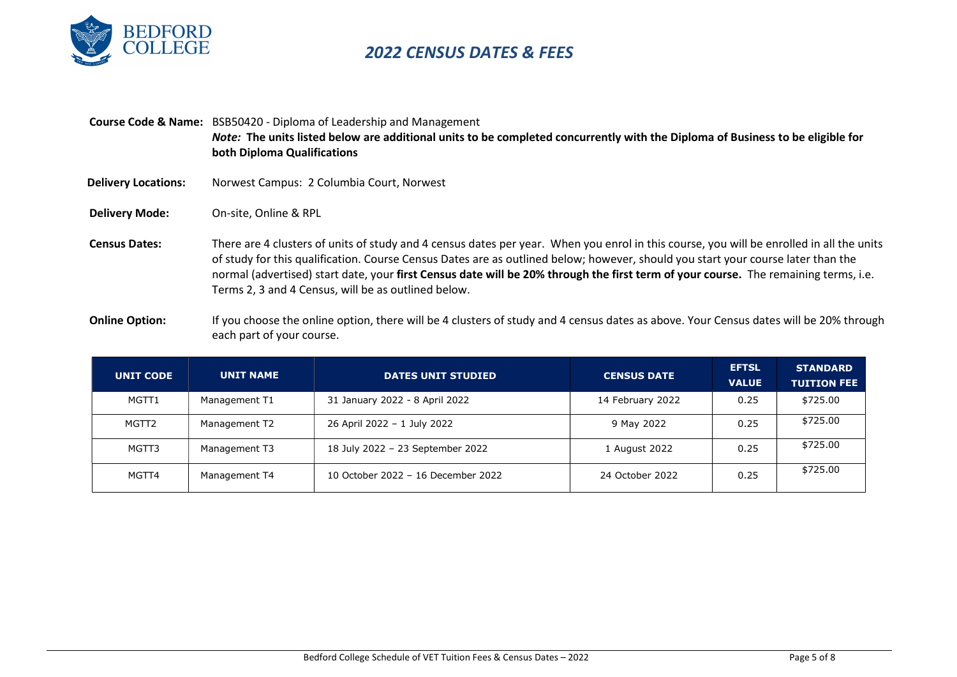

|                            | <b>Course Code &amp; Name:</b> BSB50420 - Diploma of Leadership and Management<br>Note: The units listed below are additional units to be completed concurrently with the Diploma of Business to be eligible for<br>both Diploma Qualifications                                                                                                                                                                                                                            |
|----------------------------|----------------------------------------------------------------------------------------------------------------------------------------------------------------------------------------------------------------------------------------------------------------------------------------------------------------------------------------------------------------------------------------------------------------------------------------------------------------------------|
| <b>Delivery Locations:</b> | Norwest Campus: 2 Columbia Court, Norwest                                                                                                                                                                                                                                                                                                                                                                                                                                  |
| <b>Delivery Mode:</b>      | On-site. Online & RPL                                                                                                                                                                                                                                                                                                                                                                                                                                                      |
| <b>Census Dates:</b>       | There are 4 clusters of units of study and 4 census dates per year. When you enrol in this course, you will be enrolled in all the units<br>of study for this qualification. Course Census Dates are as outlined below; however, should you start your course later than the<br>normal (advertised) start date, your first Census date will be 20% through the first term of your course. The remaining terms, i.e.<br>Terms 2, 3 and 4 Census, will be as outlined below. |

Online Option: If you choose the online option, there will be 4 clusters of study and 4 census dates as above. Your Census dates will be 20% through each part of your course.

| <b>UNIT CODE</b> | <b>UNIT NAME</b> | <b>DATES UNIT STUDIED</b>          | <b>CENSUS DATE</b> | <b>EFTSL</b><br><b>VALUE</b> | <b>STANDARD</b><br><b>TUITION FEE</b> |
|------------------|------------------|------------------------------------|--------------------|------------------------------|---------------------------------------|
| MGTT1            | Management T1    | 31 January 2022 - 8 April 2022     | 14 February 2022   | 0.25                         | \$725.00                              |
| MGTT2            | Management T2    | 26 April 2022 - 1 July 2022        | 9 May 2022         | 0.25                         | \$725.00                              |
| MGTT3            | Management T3    | 18 July 2022 - 23 September 2022   | 1 August 2022      | 0.25                         | \$725.00                              |
| MGTT4            | Management T4    | 10 October 2022 - 16 December 2022 | 24 October 2022    | 0.25                         | \$725.00                              |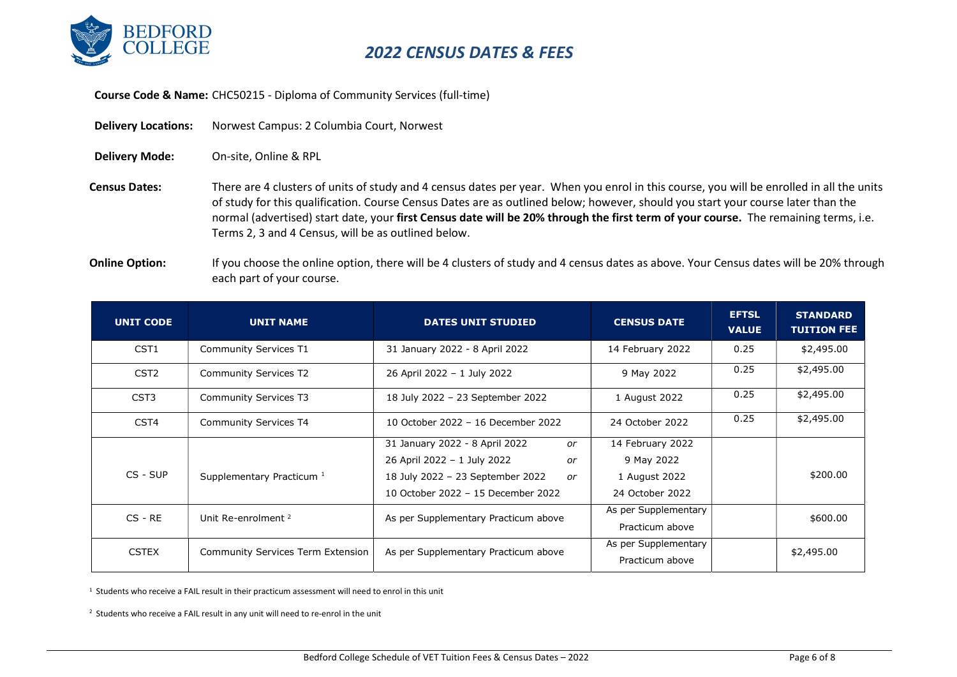

Course Code & Name: CHC50215 - Diploma of Community Services (full-time)

| <b>Delivery Locations:</b> | Norwest Campus: 2 Columbia Court, Norwest |
|----------------------------|-------------------------------------------|
| <b>Delivery Mode:</b>      | On-site. Online & RPL                     |

Census Dates: There are 4 clusters of units of study and 4 census dates per year. When you enrol in this course, you will be enrolled in all the units of study for this qualification. Course Census Dates are as outlined below; however, should you start your course later than the normal (advertised) start date, your first Census date will be 20% through the first term of your course. The remaining terms, i.e. Terms 2, 3 and 4 Census, will be as outlined below.

Online Option: If you choose the online option, there will be 4 clusters of study and 4 census dates as above. Your Census dates will be 20% through each part of your course.

| <b>UNIT CODE</b> | <b>UNIT NAME</b>                         | <b>DATES UNIT STUDIED</b>              | <b>CENSUS DATE</b>   | <b>EFTSL</b><br><b>VALUE</b> | <b>STANDARD</b><br><b>TUITION FEE</b> |
|------------------|------------------------------------------|----------------------------------------|----------------------|------------------------------|---------------------------------------|
| CST <sub>1</sub> | <b>Community Services T1</b>             | 31 January 2022 - 8 April 2022         | 14 February 2022     | 0.25                         | \$2,495.00                            |
| CST <sub>2</sub> | <b>Community Services T2</b>             | 26 April 2022 - 1 July 2022            | 9 May 2022           | 0.25                         | \$2,495.00                            |
| CST <sub>3</sub> | <b>Community Services T3</b>             | 18 July 2022 - 23 September 2022       | 1 August 2022        | 0.25                         | \$2,495.00                            |
| CST <sub>4</sub> | <b>Community Services T4</b>             | 10 October 2022 - 16 December 2022     | 24 October 2022      | 0.25                         | \$2,495.00                            |
|                  |                                          | 31 January 2022 - 8 April 2022<br>or   | 14 February 2022     |                              |                                       |
|                  |                                          | 26 April 2022 - 1 July 2022<br>or      | 9 May 2022           |                              |                                       |
| CS - SUP         | Supplementary Practicum <sup>1</sup>     | 18 July 2022 - 23 September 2022<br>or | 1 August 2022        |                              | \$200.00                              |
|                  |                                          | 10 October 2022 - 15 December 2022     | 24 October 2022      |                              |                                       |
| $CS - RE$        | Unit Re-enrolment <sup>2</sup>           | As per Supplementary Practicum above   | As per Supplementary |                              | \$600.00                              |
|                  |                                          |                                        | Practicum above      |                              |                                       |
| <b>CSTEX</b>     | <b>Community Services Term Extension</b> | As per Supplementary Practicum above   | As per Supplementary |                              | \$2,495.00                            |
|                  |                                          |                                        | Practicum above      |                              |                                       |

 $1$  Students who receive a FAIL result in their practicum assessment will need to enrol in this unit

 $2$  Students who receive a FAIL result in any unit will need to re-enrol in the unit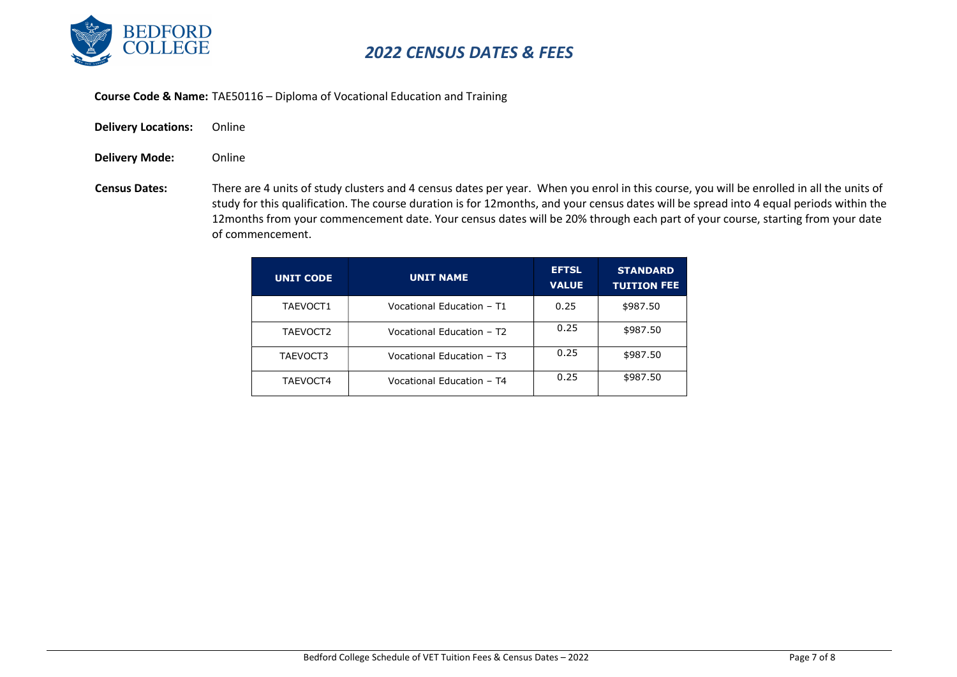

Course Code & Name: TAE50116 – Diploma of Vocational Education and Training

- Delivery Locations: Online
- Delivery Mode: Online
- Census Dates: There are 4 units of study clusters and 4 census dates per year. When you enrol in this course, you will be enrolled in all the units of study for this qualification. The course duration is for 12months, and your census dates will be spread into 4 equal periods within the 12months from your commencement date. Your census dates will be 20% through each part of your course, starting from your date of commencement.

| <b>UNIT CODE</b> | <b>UNIT NAME</b>          | <b>EFTSL</b><br><b>VALUE</b> | <b>STANDARD</b><br><b>TUITION FEE</b> |
|------------------|---------------------------|------------------------------|---------------------------------------|
| TAEVOCT1         | Vocational Education - T1 | 0.25                         | \$987.50                              |
| TAEVOCT2         | Vocational Education - T2 | 0.25                         | \$987.50                              |
| TAEVOCT3         | Vocational Education - T3 | 0.25                         | \$987.50                              |
| TAEVOCT4         | Vocational Education - T4 | 0.25                         | \$987.50                              |